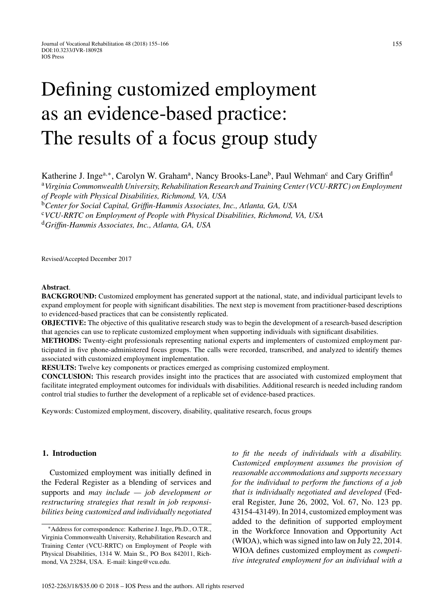# Defining customized employment as an evidence-based practice: The results of a focus group study

Katherine J. Inge<sup>a,∗</sup>, Carolyn W. Graham<sup>a</sup>, Nancy Brooks-Lane<sup>b</sup>, Paul Wehman<sup>c</sup> and Cary Griffin<sup>d</sup>

<sup>a</sup>*Virginia Commonwealth University, Rehabilitation Research and Training Center (VCU-RRTC) on Employment of People with Physical Disabilities, Richmond, VA, USA*

<sup>b</sup>*Center for Social Capital, Griffin-Hammis Associates, Inc., Atlanta, GA, USA*

<sup>c</sup>*VCU-RRTC on Employment of People with Physical Disabilities, Richmond, VA, USA*

<sup>d</sup>*Griffin-Hammis Associates, Inc., Atlanta, GA, USA*

Revised/Accepted December 2017

# **Abstract**.

**BACKGROUND:** Customized employment has generated support at the national, state, and individual participant levels to expand employment for people with significant disabilities. The next step is movement from practitioner-based descriptions to evidenced-based practices that can be consistently replicated.

**OBJECTIVE:** The objective of this qualitative research study was to begin the development of a research-based description that agencies can use to replicate customized employment when supporting individuals with significant disabilities.

**METHODS:** Twenty-eight professionals representing national experts and implementers of customized employment participated in five phone-administered focus groups. The calls were recorded, transcribed, and analyzed to identify themes associated with customized employment implementation.

**RESULTS:** Twelve key components or practices emerged as comprising customized employment.

**CONCLUSION:** This research provides insight into the practices that are associated with customized employment that facilitate integrated employment outcomes for individuals with disabilities. Additional research is needed including random control trial studies to further the development of a replicable set of evidence-based practices.

Keywords: Customized employment, discovery, disability, qualitative research, focus groups

# **1. Introduction**

Customized employment was initially defined in the Federal Register as a blending of services and supports and *may include — job development or restructuring strategies that result in job responsibilities being customized and individually negotiated*

*to fit the needs of individuals with a disability. Customized employment assumes the provision of reasonable accommodations and supports necessary for the individual to perform the functions of a job that is individually negotiated and developed* (Federal Register, June 26, 2002, Vol. 67, No. 123 pp. 43154-43149). In 2014, customized employment was added to the definition of supported employment in the Workforce Innovation and Opportunity Act (WIOA), which was signed into law on July 22, 2014. WIOA defines customized employment as *competitive integrated employment for an individual with a*

<sup>∗</sup>Address for correspondence: Katherine J. Inge, Ph.D., O.T.R., Virginia Commonwealth University, Rehabilitation Research and Training Center (VCU-RRTC) on Employment of People with Physical Disabilities, 1314 W. Main St., PO Box 842011, Richmond, VA 23284, USA. E-mail: [kinge@vcu.edu](mailto:kinge@vcu.edu).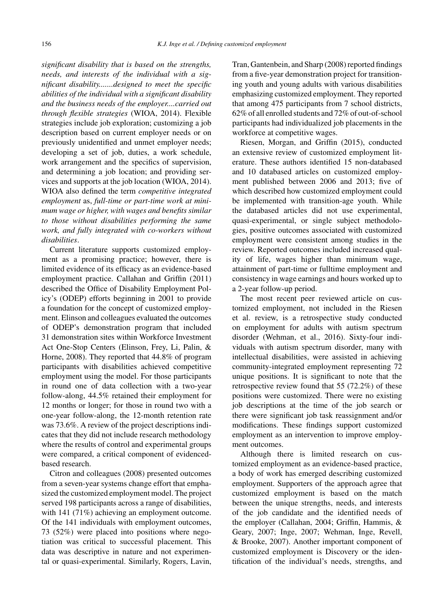*significant disability that is based on the strengths, needs, and interests of the individual with a significant disability.......designed to meet the specific abilities of the individual with a significant disability and the business needs of the employer....carried out through flexible strategies* (WIOA, 2014). Flexible strategies include job exploration; customizing a job description based on current employer needs or on previously unidentified and unmet employer needs; developing a set of job, duties, a work schedule, work arrangement and the specifics of supervision, and determining a job location; and providing services and supports at the job location (WIOA, 2014). WIOA also defined the term *competitive integrated employment* as, *full-time or part-time work at minimum wage or higher, with wages and benefits similar to those without disabilities performing the same work, and fully integrated with co-workers without disabilities*.

Current literature supports customized employment as a promising practice; however, there is limited evidence of its efficacy as an evidence-based employment practice. Callahan and Griffin (2011) described the Office of Disability Employment Policy's (ODEP) efforts beginning in 2001 to provide a foundation for the concept of customized employment. Elinson and colleagues evaluated the outcomes of ODEP's demonstration program that included 31 demonstration sites within Workforce Investment Act One-Stop Centers (Elinson, Frey, Li, Palin, & Horne, 2008). They reported that 44.8% of program participants with disabilities achieved competitive employment using the model. For those participants in round one of data collection with a two-year follow-along, 44.5% retained their employment for 12 months or longer; for those in round two with a one-year follow-along, the 12-month retention rate was 73.6%. A review of the project descriptions indicates that they did not include research methodology where the results of control and experimental groups were compared, a critical component of evidencedbased research.

Citron and colleagues (2008) presented outcomes from a seven-year systems change effort that emphasized the customized employment model. The project served 198 participants across a range of disabilities, with 141 (71%) achieving an employment outcome. Of the 141 individuals with employment outcomes, 73 (52%) were placed into positions where negotiation was critical to successful placement. This data was descriptive in nature and not experimental or quasi-experimental. Similarly, Rogers, Lavin, Tran, Gantenbein, and Sharp (2008) reported findings from a five-year demonstration project for transitioning youth and young adults with various disabilities emphasizing customized employment. They reported that among 475 participants from 7 school districts, 62% of all enrolled students and 72% of out-of-school participants had individualized job placements in the workforce at competitive wages.

Riesen, Morgan, and Griffin (2015), conducted an extensive review of customized employment literature. These authors identified 15 non-databased and 10 databased articles on customized employment published between 2006 and 2013; five of which described how customized employment could be implemented with transition-age youth. While the databased articles did not use experimental, quasi-experimental, or single subject methodologies, positive outcomes associated with customized employment were consistent among studies in the review. Reported outcomes included increased quality of life, wages higher than minimum wage, attainment of part-time or fulltime employment and consistency in wage earnings and hours worked up to a 2-year follow-up period.

The most recent peer reviewed article on customized employment, not included in the Riesen et al. review, is a retrospective study conducted on employment for adults with autism spectrum disorder (Wehman, et al., 2016). Sixty-four individuals with autism spectrum disorder, many with intellectual disabilities, were assisted in achieving community-integrated employment representing 72 unique positions. It is significant to note that the retrospective review found that 55 (72.2%) of these positions were customized. There were no existing job descriptions at the time of the job search or there were significant job task reassignment and/or modifications. These findings support customized employment as an intervention to improve employment outcomes.

Although there is limited research on customized employment as an evidence-based practice, a body of work has emerged describing customized employment. Supporters of the approach agree that customized employment is based on the match between the unique strengths, needs, and interests of the job candidate and the identified needs of the employer (Callahan, 2004; Griffin, Hammis, & Geary, 2007; Inge, 2007; Wehman, Inge, Revell, & Brooke, 2007). Another important component of customized employment is Discovery or the identification of the individual's needs, strengths, and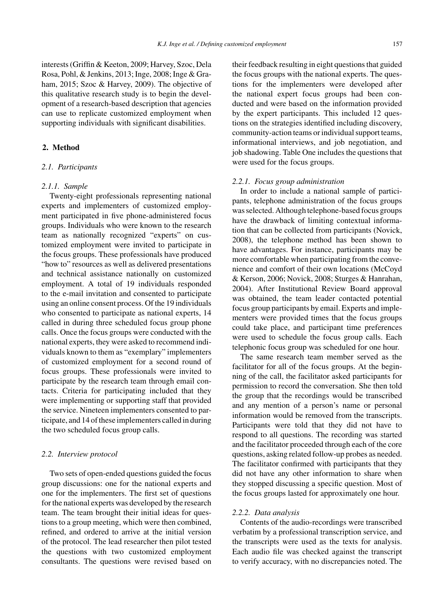interests (Griffin & Keeton, 2009; Harvey, Szoc, Dela Rosa, Pohl, & Jenkins, 2013; Inge, 2008; Inge & Graham, 2015; Szoc & Harvey, 2009). The objective of

this qualitative research study is to begin the development of a research-based description that agencies can use to replicate customized employment when supporting individuals with significant disabilities.

# **2. Method**

#### *2.1. Participants*

#### *2.1.1. Sample*

Twenty-eight professionals representing national experts and implementers of customized employment participated in five phone-administered focus groups. Individuals who were known to the research team as nationally recognized "experts" on customized employment were invited to participate in the focus groups. These professionals have produced "how to" resources as well as delivered presentations and technical assistance nationally on customized employment. A total of 19 individuals responded to the e-mail invitation and consented to participate using an online consent process. Of the 19 individuals who consented to participate as national experts, 14 called in during three scheduled focus group phone calls. Once the focus groups were conducted with the national experts, they were asked to recommend individuals known to them as "exemplary" implementers of customized employment for a second round of focus groups. These professionals were invited to participate by the research team through email contacts. Criteria for participating included that they were implementing or supporting staff that provided the service. Nineteen implementers consented to participate, and 14 of these implementers called in during the two scheduled focus group calls.

#### *2.2. Interview protocol*

Two sets of open-ended questions guided the focus group discussions: one for the national experts and one for the implementers. The first set of questions for the national experts was developed by the research team. The team brought their initial ideas for questions to a group meeting, which were then combined, refined, and ordered to arrive at the initial version of the protocol. The lead researcher then pilot tested the questions with two customized employment consultants. The questions were revised based on

their feedback resulting in eight questions that guided the focus groups with the national experts. The questions for the implementers were developed after the national expert focus groups had been conducted and were based on the information provided by the expert participants. This included 12 questions on the strategies identified including discovery, community-action teams or individual support teams, informational interviews, and job negotiation, and job shadowing. Table One includes the questions that were used for the focus groups.

### *2.2.1. Focus group administration*

In order to include a national sample of participants, telephone administration of the focus groups was selected. Although telephone-based focus groups have the drawback of limiting contextual information that can be collected from participants (Novick, 2008), the telephone method has been shown to have advantages. For instance, participants may be more comfortable when participating from the convenience and comfort of their own locations (McCoyd & Kerson, 2006; Novick, 2008; Sturges & Hanrahan, 2004). After Institutional Review Board approval was obtained, the team leader contacted potential focus group participants by email. Experts and implementers were provided times that the focus groups could take place, and participant time preferences were used to schedule the focus group calls. Each telephonic focus group was scheduled for one hour.

The same research team member served as the facilitator for all of the focus groups. At the beginning of the call, the facilitator asked participants for permission to record the conversation. She then told the group that the recordings would be transcribed and any mention of a person's name or personal information would be removed from the transcripts. Participants were told that they did not have to respond to all questions. The recording was started and the facilitator proceeded through each of the core questions, asking related follow-up probes as needed. The facilitator confirmed with participants that they did not have any other information to share when they stopped discussing a specific question. Most of the focus groups lasted for approximately one hour.

# *2.2.2. Data analysis*

Contents of the audio-recordings were transcribed verbatim by a professional transcription service, and the transcripts were used as the texts for analysis. Each audio file was checked against the transcript to verify accuracy, with no discrepancies noted. The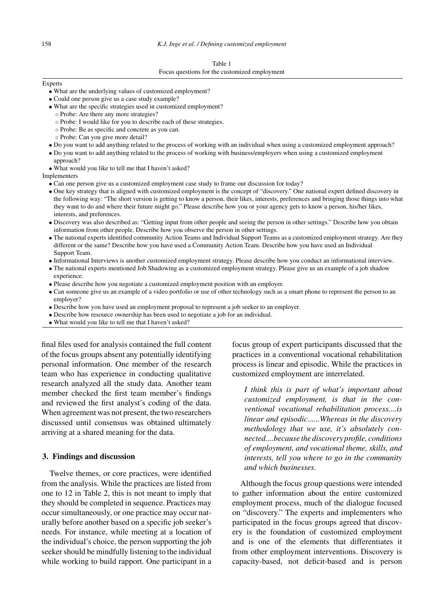#### Table 1

#### Focus questions for the customized employment

Experts

- What are the underlying values of customized employment?
- Could one person give us a case study example?
- What are the specific strategies used in customized employment?
	- Probe: Are there any more strategies?
	- Probe: I would like for you to describe each of these strategies.
	- Probe: Be as specific and concrete as you can.
	- Probe: Can you give more detail?
- Do you want to add anything related to the process of working with an individual when using a customized employment approach?
- Do you want to add anything related to the process of working with business/employers when using a customized employment approach?
- What would you like to tell me that I haven't asked?

Implementers

- Can one person give us a customized employment case study to frame our discussion for today?
- One key strategy that is aligned with customized employment is the concept of "discovery." One national expert defined discovery in the following way: "The short version is getting to know a person, their likes, interests, preferences and bringing those things into what they want to do and where their future might go." Please describe how you or your agency gets to know a person, his/her likes, interests, and preferences.
- Discovery was also described as: "Getting input from other people and seeing the person in other settings." Describe how you obtain information from other people. Describe how you observe the person in other settings.
- The national experts identified community Action Teams and Individual Support Teams as a customized employment strategy. Are they different or the same? Describe how you have used a Community Action Team. Describe how you have used an Individual Support Team.
- Informational Interviews is another customized employment strategy. Please describe how you conduct an informational interview.
- The national experts mentioned Job Shadowing as a customized employment strategy. Please give us an example of a job shadow experience.
- Please describe how you negotiate a customized employment position with an employer.
- Can someone give us an example of a video portfolio or use of other technology such as a smart phone to represent the person to an employer?
- Describe how you have used an employment proposal to represent a job seeker to an employer.
- Describe how resource ownership has been used to negotiate a job for an individual.
- What would you like to tell me that I haven't asked?

final files used for analysis contained the full content of the focus groups absent any potentially identifying personal information. One member of the research team who has experience in conducting qualitative research analyzed all the study data. Another team member checked the first team member's findings and reviewed the first analyst's coding of the data. When agreement was not present, the two researchers discussed until consensus was obtained ultimately arriving at a shared meaning for the data.

#### **3. Findings and discussion**

Twelve themes, or core practices, were identified from the analysis. While the practices are listed from one to 12 in Table 2, this is not meant to imply that they should be completed in sequence. Practices may occur simultaneously, or one practice may occur naturally before another based on a specific job seeker's needs. For instance, while meeting at a location of the individual's choice, the person supporting the job seeker should be mindfully listening to the individual while working to build rapport. One participant in a

focus group of expert participants discussed that the practices in a conventional vocational rehabilitation process is linear and episodic. While the practices in customized employment are interrelated.

*I think this is part of what's important about customized employment, is that in the conventional vocational rehabilitation process....is linear and episodic......Whereas in the discovery methodology that we use, it's absolutely connected....because the discovery profile, conditions of employment, and vocational theme, skills, and interests, tell you where to go in the community and which businesses.*

Although the focus group questions were intended to gather information about the entire customized employment process, much of the dialogue focused on "discovery." The experts and implementers who participated in the focus groups agreed that discovery is the foundation of customized employment and is one of the elements that differentiates it from other employment interventions. Discovery is capacity-based, not deficit-based and is person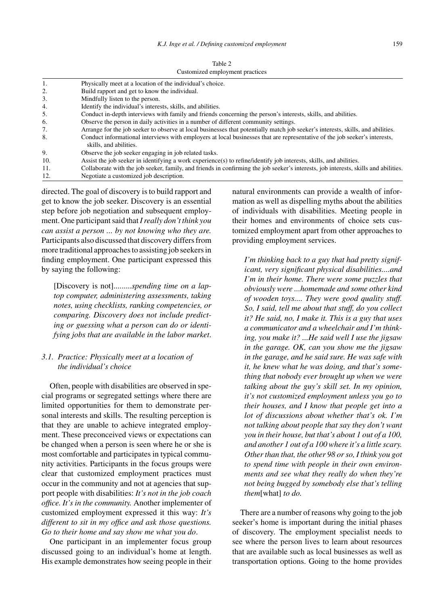| Table 2                         |
|---------------------------------|
| Customized employment practices |

| 1.  | Physically meet at a location of the individual's choice.                                                                                            |
|-----|------------------------------------------------------------------------------------------------------------------------------------------------------|
| 2.  | Build rapport and get to know the individual.                                                                                                        |
| 3.  | Mindfully listen to the person.                                                                                                                      |
| 4.  | Identify the individual's interests, skills, and abilities.                                                                                          |
| 5.  | Conduct in-depth interviews with family and friends concerning the person's interests, skills, and abilities.                                        |
| 6.  | Observe the person in daily activities in a number of different community settings.                                                                  |
| 7.  | Arrange for the job seeker to observe at local businesses that potentially match job seeker's interests, skills, and abilities.                      |
| 8.  | Conduct informational interviews with employers at local businesses that are representative of the job seeker's interests,<br>skills, and abilities. |
| 9.  | Observe the job seeker engaging in job related tasks.                                                                                                |
| 10. | Assist the job seeker in identifying a work experience(s) to refine/identify job interests, skills, and abilities.                                   |
| 11. | Collaborate with the job seeker, family, and friends in confirming the job seeker's interests, job interests, skills and abilities.                  |
| 12. | Negotiate a customized job description.                                                                                                              |

directed. The goal of discovery is to build rapport and get to know the job seeker. Discovery is an essential step before job negotiation and subsequent employment. One participant said that*I really don't think you can assist a person ... by not knowing who they are.* Participants also discussed that discovery differs from more traditional approaches to assisting job seekers in finding employment. One participant expressed this by saying the following:

[Discovery is not].........*spending time on a laptop computer, administering assessments, taking notes, using checklists, ranking competencies, or comparing. Discovery does not include predicting or guessing what a person can do or identifying jobs that are available in the labor market*.

# *3.1. Practice: Physically meet at a location of the individual's choice*

Often, people with disabilities are observed in special programs or segregated settings where there are limited opportunities for them to demonstrate personal interests and skills. The resulting perception is that they are unable to achieve integrated employment. These preconceived views or expectations can be changed when a person is seen where he or she is most comfortable and participates in typical community activities. Participants in the focus groups were clear that customized employment practices must occur in the community and not at agencies that support people with disabilities: *It's not in the job coach office. It's in the community.* Another implementer of customized employment expressed it this way: *It's different to sit in my office and ask those questions. Go to their home and say show me what you do*.

One participant in an implementer focus group discussed going to an individual's home at length. His example demonstrates how seeing people in their natural environments can provide a wealth of information as well as dispelling myths about the abilities of individuals with disabilities. Meeting people in their homes and environments of choice sets customized employment apart from other approaches to providing employment services.

*I'm thinking back to a guy that had pretty significant, very significant physical disabilities....and I'm in their home. There were some puzzles that obviously were ...homemade and some other kind of wooden toys.... They were good quality stuff. So, I said, tell me about that stuff, do you collect it? He said, no, I make it. This is a guy that uses a communicator and a wheelchair and I'm thinking, you make it? ...He said well I use the jigsaw in the garage. OK, can you show me the jigsaw in the garage, and he said sure. He was safe with it, he knew what he was doing, and that's something that nobody ever brought up when we were talking about the guy's skill set. In my opinion, it's not customized employment unless you go to their houses, and I know that people get into a lot of discussions about whether that's ok. I'm not talking about people that say they don't want you in their house, but that's about 1 out of a 100, and another 1 out of a 100 where it's a little scary. Other than that, the other 98 or so, I think you got to spend time with people in their own environments and see what they really do when they're not being bugged by somebody else that's telling them*[what] *to do.*

There are a number of reasons why going to the job seeker's home is important during the initial phases of discovery. The employment specialist needs to see where the person lives to learn about resources that are available such as local businesses as well as transportation options. Going to the home provides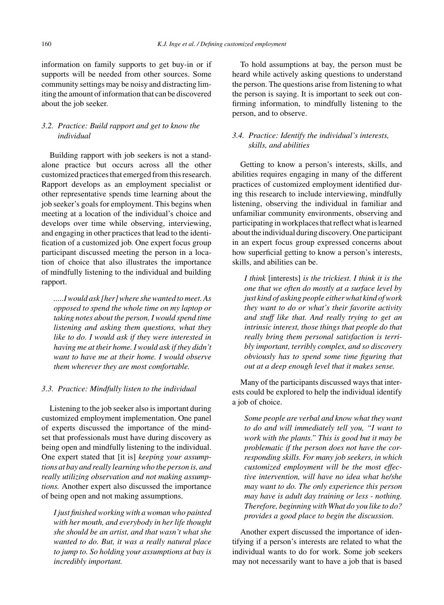information on family supports to get buy-in or if supports will be needed from other sources. Some community settings may be noisy and distracting limiting the amount of information that can be discovered about the job seeker.

# *3.2. Practice: Build rapport and get to know the individual*

Building rapport with job seekers is not a standalone practice but occurs across all the other customized practices that emerged from this research. Rapport develops as an employment specialist or other representative spends time learning about the job seeker's goals for employment. This begins when meeting at a location of the individual's choice and develops over time while observing, interviewing, and engaging in other practices that lead to the identification of a customized job. One expert focus group participant discussed meeting the person in a location of choice that also illustrates the importance of mindfully listening to the individual and building rapport.

*.....I would ask [her] where she wanted to meet. As opposed to spend the whole time on my laptop or taking notes about the person, I would spend time listening and asking them questions, what they like to do. I would ask if they were interested in having me at their home. I would ask if they didn't want to have me at their home. I would observe them wherever they are most comfortable.*

### *3.3. Practice: Mindfully listen to the individual*

Listening to the job seeker also is important during customized employment implementation. One panel of experts discussed the importance of the mindset that professionals must have during discovery as being open and mindfully listening to the individual. One expert stated that [it is] *keeping your assumptions at bay and really learning who the person is, and really utilizing observation and not making assumptions.* Another expert also discussed the importance of being open and not making assumptions.

*I just finished working with a woman who painted with her mouth, and everybody in her life thought she should be an artist, and that wasn't what she wanted to do. But, it was a really natural place to jump to. So holding your assumptions at bay is incredibly important.*

To hold assumptions at bay, the person must be heard while actively asking questions to understand the person. The questions arise from listening to what the person is saying. It is important to seek out confirming information, to mindfully listening to the person, and to observe.

# *3.4. Practice: Identify the individual's interests, skills, and abilities*

Getting to know a person's interests, skills, and abilities requires engaging in many of the different practices of customized employment identified during this research to include interviewing, mindfully listening, observing the individual in familiar and unfamiliar community environments, observing and participating in workplaces that reflect what is learned about the individual during discovery. One participant in an expert focus group expressed concerns about how superficial getting to know a person's interests, skills, and abilities can be.

*I think* [interests] *is the trickiest. I think it is the one that we often do mostly at a surface level by just kind of asking people either what kind of work they want to do or what's their favorite activity and stuff like that. And really trying to get an intrinsic interest, those things that people do that really bring them personal satisfaction is terribly important, terribly complex, and so discovery obviously has to spend some time figuring that out at a deep enough level that it makes sense.*

Many of the participants discussed ways that interests could be explored to help the individual identify a job of choice.

*Some people are verbal and know what they want to do and will immediately tell you, "I want to work with the plants." This is good but it may be problematic if the person does not have the corresponding skills. For many job seekers, in which customized employment will be the most effective intervention, will have no idea what he/she may want to do. The only experience this person may have is adult day training or less - nothing. Therefore, beginning with What do you like to do? provides a good place to begin the discussion.*

Another expert discussed the importance of identifying if a person's interests are related to what the individual wants to do for work. Some job seekers may not necessarily want to have a job that is based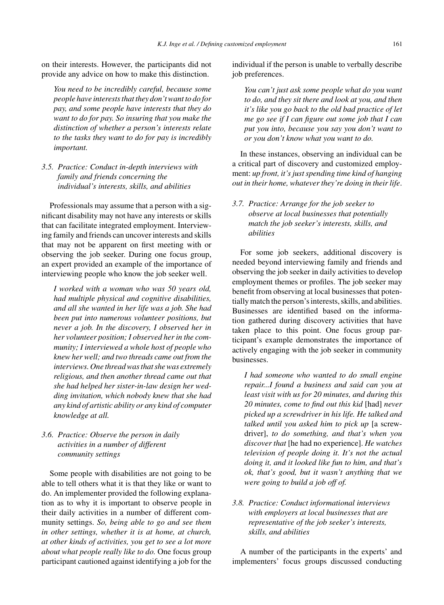on their interests. However, the participants did not provide any advice on how to make this distinction.

*You need to be incredibly careful, because some people have interests that they don't want to do for pay, and some people have interests that they do want to do for pay. So insuring that you make the distinction of whether a person's interests relate to the tasks they want to do for pay is incredibly important.*

# *3.5. Practice: Conduct in-depth interviews with family and friends concerning the individual's interests, skills, and abilities*

Professionals may assume that a person with a significant disability may not have any interests or skills that can facilitate integrated employment. Interviewing family and friends can uncover interests and skills that may not be apparent on first meeting with or observing the job seeker. During one focus group, an expert provided an example of the importance of interviewing people who know the job seeker well.

*I worked with a woman who was 50 years old, had multiple physical and cognitive disabilities, and all she wanted in her life was a job. She had been put into numerous volunteer positions, but never a job. In the discovery, I observed her in her volunteer position; I observed her in the community; I interviewed a whole host of people who knew her well; and two threads came out from the interviews. One thread was that she was extremely religious, and then another thread came out that she had helped her sister-in-law design her wedding invitation, which nobody knew that she had any kind of artistic ability or any kind of computer knowledge at all.*

# *3.6. Practice: Observe the person in daily activities in a number of different community settings*

Some people with disabilities are not going to be able to tell others what it is that they like or want to do. An implementer provided the following explanation as to why it is important to observe people in their daily activities in a number of different community settings. *So, being able to go and see them in other settings, whether it is at home, at church, at other kinds of activities, you get to see a lot more about what people really like to do.* One focus group participant cautioned against identifying a job for the

individual if the person is unable to verbally describe job preferences.

*You can't just ask some people what do you want to do, and they sit there and look at you, and then it's like you go back to the old bad practice of let me go see if I can figure out some job that I can put you into, because you say you don't want to or you don't know what you want to do.*

In these instances, observing an individual can be a critical part of discovery and customized employment: *up front, it's just spending time kind of hanging out in their home, whatever they're doing in their life*.

*3.7. Practice: Arrange for the job seeker to observe at local businesses that potentially match the job seeker's interests, skills, and abilities*

For some job seekers, additional discovery is needed beyond interviewing family and friends and observing the job seeker in daily activities to develop employment themes or profiles. The job seeker may benefit from observing at local businesses that potentially match the person's interests, skills, and abilities. Businesses are identified based on the information gathered during discovery activities that have taken place to this point. One focus group participant's example demonstrates the importance of actively engaging with the job seeker in community businesses.

*I had someone who wanted to do small engine repair...I found a business and said can you at least visit with us for 20 minutes, and during this 20 minutes, come to find out this kid* [had] *never picked up a screwdriver in his life. He talked and talked until you asked him to pick up* [a screwdriver], *to do something, and that's when you discover that* [he had no experience]. *He watches television of people doing it. It's not the actual doing it, and it looked like fun to him, and that's ok, that's good, but it wasn't anything that we were going to build a job off of.*

# *3.8. Practice: Conduct informational interviews with employers at local businesses that are representative of the job seeker's interests, skills, and abilities*

A number of the participants in the experts' and implementers' focus groups discussed conducting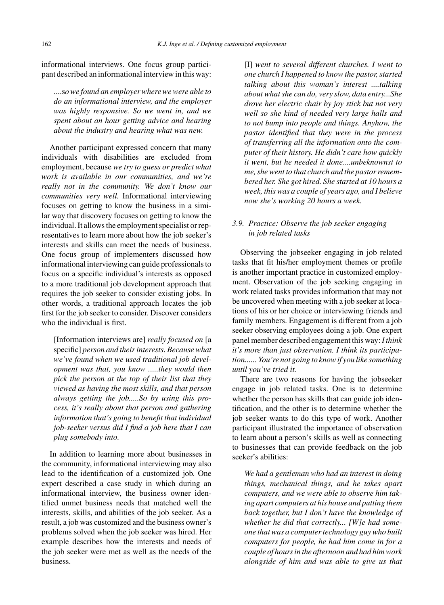informational interviews. One focus group participant described an informational interview in this way:

....s*o we found an employer where we were able to do an informational interview, and the employer was highly responsive. So we went in, and we spent about an hour getting advice and hearing about the industry and hearing what was new.*

Another participant expressed concern that many individuals with disabilities are excluded from employment, because *we try to guess or predict what work is available in our communities, and we're really not in the community. We don't know our communities very well.* Informational interviewing focuses on getting to know the business in a similar way that discovery focuses on getting to know the individual. It allows the employment specialist or representatives to learn more about how the job seeker's interests and skills can meet the needs of business. One focus group of implementers discussed how informational interviewing can guide professionals to focus on a specific individual's interests as opposed to a more traditional job development approach that requires the job seeker to consider existing jobs. In other words, a traditional approach locates the job first for the job seeker to consider. Discover considers who the individual is first.

[Information interviews are] *really focused on* [a specific] *person and their interests. Because what we've found when we used traditional job development was that, you know .....they would then pick the person at the top of their list that they viewed as having the most skills, and that person always getting the job.....So by using this process, it's really about that person and gathering information that's going to benefit that individual job-seeker versus did I find a job here that I can plug somebody into.*

In addition to learning more about businesses in the community, informational interviewing may also lead to the identification of a customized job. One expert described a case study in which during an informational interview, the business owner identified unmet business needs that matched well the interests, skills, and abilities of the job seeker. As a result, a job was customized and the business owner's problems solved when the job seeker was hired. Her example describes how the interests and needs of the job seeker were met as well as the needs of the business.

[I] *went to several different churches. I went to one church I happened to know the pastor, started talking about this woman's interest ....talking about what she can do, very slow, data entry...She drove her electric chair by joy stick but not very well so she kind of needed very large halls and to not bump into people and things. Anyhow, the pastor identified that they were in the process of transferring all the information onto the computer of their history. He didn't care how quickly it went, but he needed it done....unbeknownst to me, she went to that church and the pastor remembered her. She got hired. She started at 10 hours a week, this was a couple of years ago, and I believe now she's working 20 hours a week.*

# *3.9. Practice: Observe the job seeker engaging in job related tasks*

Observing the jobseeker engaging in job related tasks that fit his/her employment themes or profile is another important practice in customized employment. Observation of the job seeking engaging in work related tasks provides information that may not be uncovered when meeting with a job seeker at locations of his or her choice or interviewing friends and family members. Engagement is different from a job seeker observing employees doing a job. One expert panel member described engagement this way:*I think it's more than just observation. I think its participation...... You're not going to know if you like something until you've tried it.*

There are two reasons for having the jobseeker engage in job related tasks. One is to determine whether the person has skills that can guide job identification, and the other is to determine whether the job seeker wants to do this type of work. Another participant illustrated the importance of observation to learn about a person's skills as well as connecting to businesses that can provide feedback on the job seeker's abilities:

*We had a gentleman who had an interest in doing things, mechanical things, and he takes apart computers, and we were able to observe him taking apart computers at his house and putting them back together, but I don't have the knowledge of whether he did that correctly... [W]e had someone that was a computer technology guy who built computers for people, he had him come in for a couple of hours in the afternoon and had him work alongside of him and was able to give us that*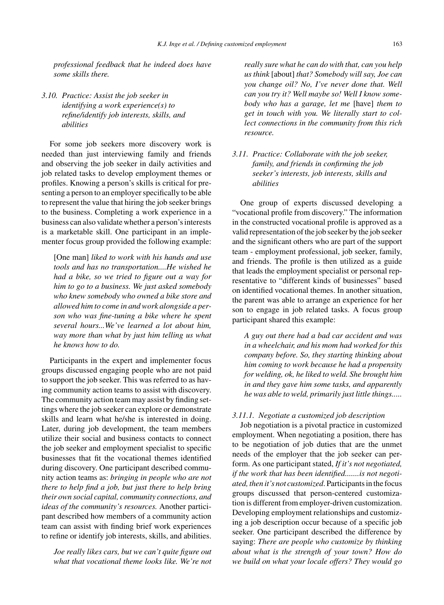*professional feedback that he indeed does have some skills there.*

*3.10. Practice: Assist the job seeker in identifying a work experience(s) to refine/identify job interests, skills, and abilities*

For some job seekers more discovery work is needed than just interviewing family and friends and observing the job seeker in daily activities and job related tasks to develop employment themes or profiles. Knowing a person's skills is critical for presenting a person to an employer specifically to be able to represent the value that hiring the job seeker brings to the business. Completing a work experience in a business can also validate whether a person's interests is a marketable skill. One participant in an implementer focus group provided the following example:

[One man] *liked to work with his hands and use tools and has no transportation....He wished he had a bike, so we tried to figure out a way for him to go to a business. We just asked somebody who knew somebody who owned a bike store and allowed him to come in and work alongside a person who was fine-tuning a bike where he spent several hours...We've learned a lot about him, way more than what by just him telling us what he knows how to do.*

Participants in the expert and implementer focus groups discussed engaging people who are not paid to support the job seeker. This was referred to as having community action teams to assist with discovery. The community action team may assist by finding settings where the job seeker can explore or demonstrate skills and learn what he/she is interested in doing. Later, during job development, the team members utilize their social and business contacts to connect the job seeker and employment specialist to specific businesses that fit the vocational themes identified during discovery. One participant described community action teams as: *bringing in people who are not there to help find a job, but just there to help bring their own social capital, community connections, and ideas of the community's resources.* Another participant described how members of a community action team can assist with finding brief work experiences to refine or identify job interests, skills, and abilities.

*Joe really likes cars, but we can't quite figure out what that vocational theme looks like. We're not* *really sure what he can do with that, can you help us think* [about] *that? Somebody will say, Joe can you change oil? No, I've never done that. Well can you try it? Well maybe so! Well I know somebody who has a garage, let me* [have] *them to get in touch with you. We literally start to collect connections in the community from this rich resource.*

*3.11. Practice: Collaborate with the job seeker, family, and friends in confirming the job seeker's interests, job interests, skills and abilities*

One group of experts discussed developing a "vocational profile from discovery." The information in the constructed vocational profile is approved as a valid representation of the job seeker by the job seeker and the significant others who are part of the support team - employment professional, job seeker, family, and friends. The profile is then utilized as a guide that leads the employment specialist or personal representative to "different kinds of businesses" based on identified vocational themes. In another situation, the parent was able to arrange an experience for her son to engage in job related tasks. A focus group participant shared this example:

*A guy out there had a bad car accident and was in a wheelchair, and his mom had worked for this company before. So, they starting thinking about him coming to work because he had a propensity for welding, ok, he liked to weld. She brought him in and they gave him some tasks, and apparently he was able to weld, primarily just little things.....*

#### *3.11.1. Negotiate a customized job description*

Job negotiation is a pivotal practice in customized employment. When negotiating a position, there has to be negotiation of job duties that are the unmet needs of the employer that the job seeker can perform. As one participant stated, *If it's not negotiated, if the work that has been identified.......is not negotiated, then it's not customized*. Participants in the focus groups discussed that person-centered customization is different from employer-driven customization. Developing employment relationships and customizing a job description occur because of a specific job seeker. One participant described the difference by saying: *There are people who customize by thinking about what is the strength of your town? How do we build on what your locale offers? They would go*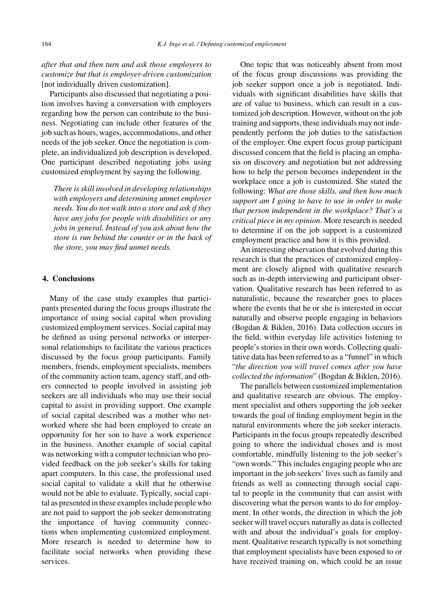*after that and then turn and ask those employers to customize but that is employer-driven customization* [not individually driven customization].

Participants also discussed that negotiating a position involves having a conversation with employers regarding how the person can contribute to the business. Negotiating can include other features of the job such as hours, wages, accommodations, and other needs of the job seeker. Once the negotiation is complete, an individualized job description is developed. One participant described negotiating jobs using customized employment by saying the following.

*There is skill involved in developing relationships with employers and determining unmet employer needs. You do not walk into a store and ask if they have any jobs for people with disabilities or any jobs in general. Instead of you ask about how the store is run behind the counter or in the back of the store, you may find unmet needs.*

# **4. Conclusions**

Many of the case study examples that participants presented during the focus groups illustrate the importance of using social capital when providing customized employment services. Social capital may be defined as using personal networks or interpersonal relationships to facilitate the various practices discussed by the focus group participants. Family members, friends, employment specialists, members of the community action team, agency staff, and others connected to people involved in assisting job seekers are all individuals who may use their social capital to assist in providing support. One example of social capital described was a mother who networked where she had been employed to create an opportunity for her son to have a work experience in the business. Another example of social capital was networking with a computer technician who provided feedback on the job seeker's skills for taking apart computers. In this case, the professional used social capital to validate a skill that he otherwise would not be able to evaluate. Typically, social capital as presented in these examples include people who are not paid to support the job seeker demonstrating the importance of having community connections when implementing customized employment. More research is needed to determine how to facilitate social networks when providing these services.

One topic that was noticeably absent from most of the focus group discussions was providing the job seeker support once a job is negotiated. Individuals with significant disabilities have skills that are of value to business, which can result in a customized job description. However, without on the job training and supports, these individuals may not independently perform the job duties to the satisfaction of the employer. One expert focus group participant discussed concern that the field is placing an emphasis on discovery and negotiation but not addressing how to help the person becomes independent in the workplace once a job is customized. She stated the following: *What are those skills, and then how much support am I going to have to use in order to make that person independent in the workplace? That's a critical piece in my opinion*. More research is needed to determine if on the job support is a customized employment practice and how it is this provided.

An interesting observation that evolved during this research is that the practices of customized employment are closely aligned with qualitative research such as in-depth interviewing and participant observation. Qualitative research has been referred to as naturalistic, because the researcher goes to places where the events that he or she is interested in occur naturally and observe people engaging in behaviors (Bogdan & Biklen, 2016). Data collection occurs in the field, within everyday life activities listening to people's stories in their own words. Collecting qualitative data has been referred to as a "funnel" in which "*the direction you will travel comes after you have collected the information*" (Bogdan & Biklen, 2016).

The parallels between customized implementation and qualitative research are obvious. The employment specialist and others supporting the job seeker towards the goal of finding employment begin in the natural environments where the job seeker interacts. Participants in the focus groups repeatedly described going to where the individual choses and is most comfortable, mindfully listening to the job seeker's "own words." This includes engaging people who are important in the job seekers' lives such as family and friends as well as connecting through social capital to people in the community that can assist with discovering what the person wants to do for employment. In other words, the direction in which the job seeker will travel occurs naturally as data is collected with and about the individual's goals for employment. Qualitative research typically is not something that employment specialists have been exposed to or have received training on, which could be an issue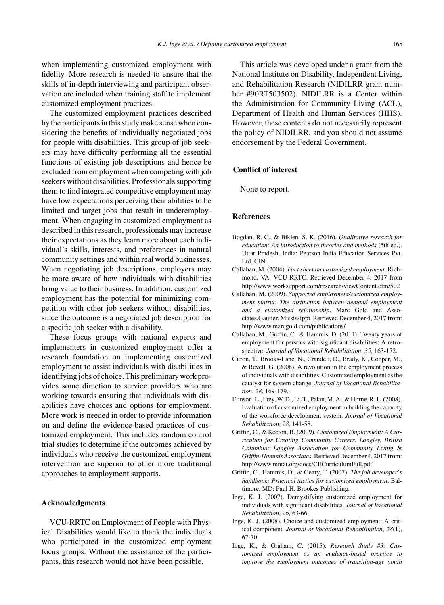when implementing customized employment with fidelity. More research is needed to ensure that the skills of in-depth interviewing and participant observation are included when training staff to implement customized employment practices.

The customized employment practices described by the participants in this study make sense when considering the benefits of individually negotiated jobs for people with disabilities. This group of job seekers may have difficulty performing all the essential functions of existing job descriptions and hence be excluded from employment when competing with job seekers without disabilities. Professionals supporting them to find integrated competitive employment may have low expectations perceiving their abilities to be limited and target jobs that result in underemployment. When engaging in customized employment as described in this research, professionals may increase their expectations as they learn more about each individual's skills, interests, and preferences in natural community settings and within real world businesses. When negotiating job descriptions, employers may be more aware of how individuals with disabilities bring value to their business. In addition, customized employment has the potential for minimizing competition with other job seekers without disabilities, since the outcome is a negotiated job description for a specific job seeker with a disability.

These focus groups with national experts and implementers in customized employment offer a research foundation on implementing customized employment to assist individuals with disabilities in identifying jobs of choice. This preliminary work provides some direction to service providers who are working towards ensuring that individuals with disabilities have choices and options for employment. More work is needed in order to provide information on and define the evidence-based practices of customized employment. This includes random control trial studies to determine if the outcomes achieved by individuals who receive the customized employment intervention are superior to other more traditional approaches to employment supports.

#### **Acknowledgments**

VCU-RRTC on Employment of People with Physical Disabilities would like to thank the individuals who participated in the customized employment focus groups. Without the assistance of the participants, this research would not have been possible.

This article was developed under a grant from the National Institute on Disability, Independent Living, and Rehabilitation Research (NIDILRR grant number #90RT503502). NIDILRR is a Center within the Administration for Community Living (ACL), Department of Health and Human Services (HHS). However, these contents do not necessarily represent the policy of NIDILRR, and you should not assume endorsement by the Federal Government.

# **Conflict of interest**

None to report.

# **References**

- Bogdan, R. C., & Biklen, S. K. (2016). *Qualitative research for education: An introduction to theories and methods* (5th ed.). Uttar Pradesh, India: Pearson India Education Services Pvt. Ltd, CIN.
- Callahan, M. (2004). *Fact sheet on customized employment*. Richmond, VA: VCU RRTC. Retrieved December 4, 2017 from <http://www.worksupport.com/research/viewContent.cfm/502>
- Callahan, M. (2009). *Supported employment/customized employment matrix: The distinction between demand employment and a customized relationship*. Marc Gold and Associates,Gautier, Mississippi. Retrieved December 4, 2017 from: <http://www.marcgold.com/publications/>
- Callahan, M., Griffin, C., & Hammis, D. (2011). Twenty years of employment for persons with significant disabilities: A retrospective. *Journal of Vocational Rehabilitation*, *35*, 163-172.
- Citron, T., Brooks-Lane, N., Crandell, D., Brady, K., Cooper, M., & Revell, G. (2008). A revolution in the employment process of individuals with disabilities: Customized employment as the catalyst for system change. *Journal of Vocational Rehabilitation*, *28*, 169-179.
- Elinson, L., Frey, W. D., Li, T., Palan, M. A., & Horne, R. L. (2008). Evaluation of customized employment in building the capacity of the workforce development system. *Journal of Vocational Rehabilitation*, *28*, 141-58.
- Griffin, C., & Keeton, B. (2009). *Customized Employment: A Curriculum for Creating Community Careers. Langley, British Columbia: Langley Association for Community Living* & *Griffin-Hammis Associates*. Retrieved December 4, 2017 from: <http://www.mntat.org/docs/CECurriculumFull.pdf>
- Griffin, C., Hammis, D., & Geary, T. (2007). *The job developer*'*s handbook: Practical tactics for customized employment*. Baltimore, MD: Paul H. Brookes Publishing.
- Inge, K. J. (2007). Demystifying customized employment for individuals with significant disabilities. *Journal of Vocational Rehabilitation*, *26*, 63-66.
- Inge, K. J. (2008). Choice and customized employment: A critical component. *Journal of Vocational Rehabilitation*, *28*(1), 67-70.
- Inge, K., & Graham, C. (2015). *Research Study* #*3: Customized employment as an evidence-based practice to improve the employment outcomes of transition-age youth*